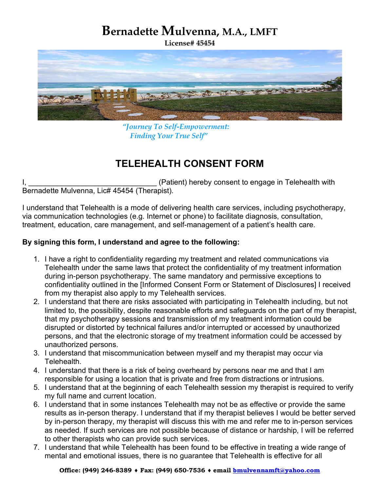## Bernadette Mulvenna, M.A., LMFT

License# 45454



 "Journey To Self-Empowerment: Finding Your True Self"

## TELEHEALTH CONSENT FORM

I, **I** and the same of the same of the same of the same of the same of the same of the same of the same of the same of the same of the same of the same of the same of the same of the same of the same of the same of the sam Bernadette Mulvenna, Lic# 45454 (Therapist).

I understand that Telehealth is a mode of delivering health care services, including psychotherapy, via communication technologies (e.g. Internet or phone) to facilitate diagnosis, consultation, treatment, education, care management, and self-management of a patient's health care.

## By signing this form, I understand and agree to the following:

- 1. I have a right to confidentiality regarding my treatment and related communications via Telehealth under the same laws that protect the confidentiality of my treatment information during in-person psychotherapy. The same mandatory and permissive exceptions to confidentiality outlined in the [Informed Consent Form or Statement of Disclosures] I received from my therapist also apply to my Telehealth services.
- 2. I understand that there are risks associated with participating in Telehealth including, but not limited to, the possibility, despite reasonable efforts and safeguards on the part of my therapist, that my psychotherapy sessions and transmission of my treatment information could be disrupted or distorted by technical failures and/or interrupted or accessed by unauthorized persons, and that the electronic storage of my treatment information could be accessed by unauthorized persons.
- 3. I understand that miscommunication between myself and my therapist may occur via Telehealth.
- 4. I understand that there is a risk of being overheard by persons near me and that I am responsible for using a location that is private and free from distractions or intrusions.
- 5. I understand that at the beginning of each Telehealth session my therapist is required to verify my full name and current location.
- 6. I understand that in some instances Telehealth may not be as effective or provide the same results as in-person therapy. I understand that if my therapist believes I would be better served by in-person therapy, my therapist will discuss this with me and refer me to in-person services as needed. If such services are not possible because of distance or hardship, I will be referred to other therapists who can provide such services.
- 7. I understand that while Telehealth has been found to be effective in treating a wide range of mental and emotional issues, there is no guarantee that Telehealth is effective for all